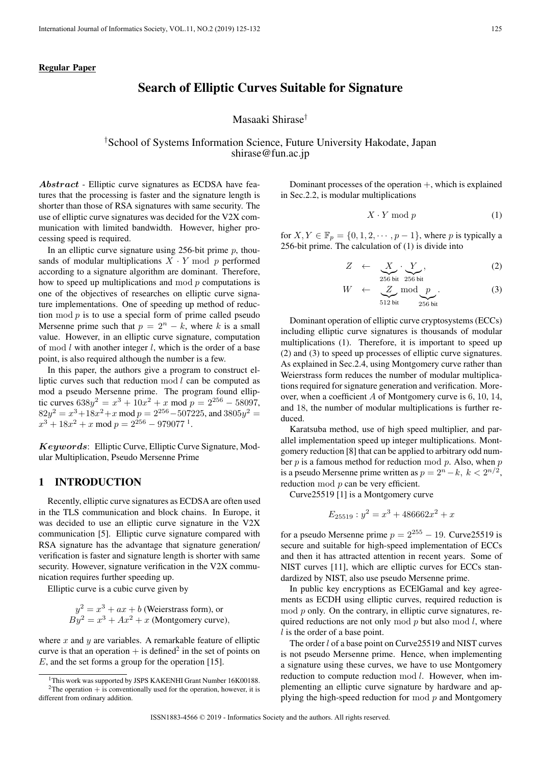### Regular Paper

# Search of Elliptic Curves Suitable for Signature

Masaaki Shirase*†*

## *†*School of Systems Information Science, Future University Hakodate, Japan shirase@fun.ac.jp

*Abstract* - Elliptic curve signatures as ECDSA have features that the processing is faster and the signature length is shorter than those of RSA signatures with same security. The use of elliptic curve signatures was decided for the V2X communication with limited bandwidth. However, higher processing speed is required.

In an elliptic curve signature using 256-bit prime *p*, thousands of modular multiplications  $X \cdot Y \mod p$  performed according to a signature algorithm are dominant. Therefore, how to speed up multiplications and mod *p* computations is one of the objectives of researches on elliptic curve signature implementations. One of speeding up method of reduction mod  $p$  is to use a special form of prime called pseudo Mersenne prime such that  $p = 2^n - k$ , where *k* is a small value. However, in an elliptic curve signature, computation of mod *l* with another integer *l*, which is the order of a base point, is also required although the number is a few.

In this paper, the authors give a program to construct elliptic curves such that reduction mod *l* can be computed as mod a pseudo Mersenne prime. The program found elliptic curves  $638y^2 = x^3 + 10x^2 + x \text{ mod } p = 2^{256} - 58097$ ,  $82y^2 = x^3 + 18x^2 + x \bmod p = 2^{256} - 507225$ , and  $3805y^2 =$  $x^3 + 18x^2 + x \mod p = 2^{256} - 979077^1.$ 

*Keywords*: Elliptic Curve, Elliptic Curve Signature, Modular Multiplication, Pseudo Mersenne Prime

## 1 INTRODUCTION

Recently, elliptic curve signatures as ECDSA are often used in the TLS communication and block chains. In Europe, it was decided to use an elliptic curve signature in the V2X communication [5]. Elliptic curve signature compared with RSA signature has the advantage that signature generation/ verification is faster and signature length is shorter with same security. However, signature verification in the V2X communication requires further speeding up.

Elliptic curve is a cubic curve given by

$$
y2 = x3 + ax + b
$$
 (Weierstrass form), or  

$$
By2 = x3 + Ax2 + x
$$
 (Montgomery curve),

where *x* and *y* are variables. A remarkable feature of elliptic curve is that an operation  $+$  is defined<sup>2</sup> in the set of points on *E*, and the set forms a group for the operation [15].

Dominant processes of the operation  $+$ , which is explained in Sec.2.2, is modular multiplications

$$
X \cdot Y \bmod p \tag{1}
$$

for *X*,  $Y \in \mathbb{F}_p = \{0, 1, 2, \dots, p-1\}$ , where *p* is typically a 256-bit prime. The calculation of (1) is divide into

$$
Z \leftarrow \underbrace{X}_{256 \text{ bit}} \cdot \underbrace{Y}_{256 \text{ bit}}, \tag{2}
$$

$$
W \leftarrow \underbrace{Z}_{512 \text{ bit}} \text{mod} \underbrace{p}_{256 \text{ bit}}.
$$
 (3)

Dominant operation of elliptic curve cryptosystems (ECCs) including elliptic curve signatures is thousands of modular multiplications (1). Therefore, it is important to speed up (2) and (3) to speed up processes of elliptic curve signatures. As explained in Sec.2.4, using Montgomery curve rather than Weierstrass form reduces the number of modular multiplications required for signature generation and verification. Moreover, when a coefficient *A* of Montgomery curve is 6, 10, 14, and 18, the number of modular multiplications is further reduced.

Karatsuba method, use of high speed multiplier, and parallel implementation speed up integer multiplications. Montgomery reduction [8] that can be applied to arbitrary odd number *p* is a famous method for reduction mod *p*. Also, when *p* is a pseudo Mersenne prime written as  $p = 2<sup>n</sup> − k$ ,  $k < 2<sup>n/2</sup>$ , reduction mod *p* can be very efficient.

Curve25519 [1] is a Montgomery curve

$$
E_{25519} : y^2 = x^3 + 486662x^2 + x
$$

for a pseudo Mersenne prime  $p = 2^{255} - 19$ . Curve 25519 is secure and suitable for high-speed implementation of ECCs and then it has attracted attention in recent years. Some of NIST curves [11], which are elliptic curves for ECCs standardized by NIST, also use pseudo Mersenne prime.

In public key encryptions as ECElGamal and key agreements as ECDH using elliptic curves, required reduction is mod *p* only. On the contrary, in elliptic curve signatures, required reductions are not only mod *p* but also mod *l*, where *l* is the order of a base point.

The order *l* of a base point on Curve25519 and NIST curves is not pseudo Mersenne prime. Hence, when implementing a signature using these curves, we have to use Montgomery reduction to compute reduction mod *l*. However, when implementing an elliptic curve signature by hardware and applying the high-speed reduction for mod *p* and Montgomery

<sup>&</sup>lt;sup>1</sup>This work was supported by JSPS KAKENHI Grant Number 16K00188. <sup>2</sup>The operation  $+$  is conventionally used for the operation, however, it is different from ordinary addition.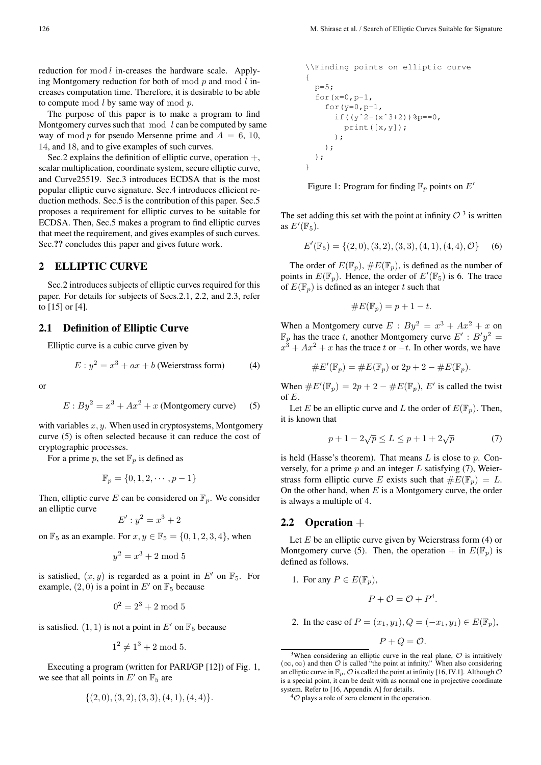reduction for mod *l* in-creases the hardware scale. Applying Montgomery reduction for both of mod *p* and mod *l* increases computation time. Therefore, it is desirable to be able to compute mod *l* by same way of mod *p*.

The purpose of this paper is to make a program to find Montgomery curves such that mod *l* can be computed by same way of mod  $p$  for pseudo Mersenne prime and  $A = 6, 10,$ 14, and 18, and to give examples of such curves.

Sec.2 explains the definition of elliptic curve, operation  $+$ , scalar multiplication, coordinate system, secure elliptic curve, and Curve25519. Sec.3 introduces ECDSA that is the most popular elliptic curve signature. Sec.4 introduces efficient reduction methods. Sec.5 is the contribution of this paper. Sec.5 proposes a requirement for elliptic curves to be suitable for ECDSA. Then, Sec.5 makes a program to find elliptic curves that meet the requirement, and gives examples of such curves. Sec.?? concludes this paper and gives future work.

### 2 ELLIPTIC CURVE

Sec.2 introduces subjects of elliptic curves required for this paper. For details for subjects of Secs.2.1, 2.2, and 2.3, refer to [15] or [4].

#### 2.1 Definition of Elliptic Curve

Elliptic curve is a cubic curve given by

$$
E: y^2 = x^3 + ax + b
$$
 (Weierstrass form) (4)

or

$$
E: By2 = x3 + Ax2 + x (Montgomery curve) (5)
$$

with variables *x, y*. When used in cryptosystems, Montgomery curve (5) is often selected because it can reduce the cost of cryptographic processes.

For a prime p, the set  $\mathbb{F}_p$  is defined as

$$
\mathbb{F}_p = \{0, 1, 2, \cdots, p - 1\}
$$

Then, elliptic curve *E* can be considered on  $\mathbb{F}_p$ . We consider an elliptic curve

$$
E': y^2 = x^3 + 2
$$

on  $\mathbb{F}_5$  as an example. For  $x, y \in \mathbb{F}_5 = \{0, 1, 2, 3, 4\}$ , when

$$
y^2 = x^3 + 2 \bmod 5
$$

is satisfied,  $(x, y)$  is regarded as a point in  $E'$  on  $\mathbb{F}_5$ . For example,  $(2, 0)$  is a point in  $E'$  on  $\mathbb{F}_5$  because

$$
0^2 = 2^3 + 2 \bmod 5
$$

is satisfied.  $(1, 1)$  is not a point in  $E'$  on  $\mathbb{F}_5$  because

$$
1^2 \neq 1^3 + 2 \mod 5.
$$

Executing a program (written for PARI/GP [12]) of Fig. 1, we see that all points in  $E'$  on  $\mathbb{F}_5$  are

$$
\{(2,0),(3,2),(3,3),(4,1),(4,4)\}.
$$

```
\\Finding points on elliptic curve
{
 p=5;
  for(x=0,p-1,for(y=0,p-1,if((y^2 - (x^3 + 2))=p = 0,print([x,y]);
      );
   );
 );
}
```
Figure 1: Program for finding F*<sup>p</sup>* points on *E′*

The set adding this set with the point at infinity  $\mathcal{O}^{3}$  is written as  $E'(\mathbb{F}_5)$ .

$$
E'(\mathbb{F}_5) = \{ (2,0), (3,2), (3,3), (4,1), (4,4), \mathcal{O} \} \tag{6}
$$

The order of  $E(\mathbb{F}_p)$ ,  $\#E(\mathbb{F}_p)$ , is defined as the number of points in  $E(\mathbb{F}_p)$ . Hence, the order of  $E'(\mathbb{F}_5)$  is 6. The trace of  $E(\mathbb{F}_p)$  is defined as an integer *t* such that

$$
\#E(\mathbb{F}_p) = p + 1 - t.
$$

When a Montgomery curve  $E : By^2 = x^3 + Ax^2 + x$  on  $\mathbb{F}_p$  has the trace *t*, another Montgomery curve  $E' : B'y^2 =$  $x^3 + Ax^2 + x$  has the trace *t* or  $-t$ . In other words, we have

$$
\#E'(\mathbb{F}_p) = \#E(\mathbb{F}_p) \text{ or } 2p + 2 - \#E(\mathbb{F}_p).
$$

When  $\#E'(\mathbb{F}_p) = 2p + 2 - \#E(\mathbb{F}_p)$ , *E'* is called the twist of *E*.

Let *E* be an elliptic curve and *L* the order of  $E(\mathbb{F}_p)$ . Then, it is known that

$$
p + 1 - 2\sqrt{p} \le L \le p + 1 + 2\sqrt{p} \tag{7}
$$

is held (Hasse's theorem). That means *L* is close to *p*. Conversely, for a prime *p* and an integer *L* satisfying (7), Weierstrass form elliptic curve *E* exists such that  $#E(\mathbb{F}_n) = L$ . On the other hand, when *E* is a Montgomery curve, the order is always a multiple of 4.

### 2.2 Operation **+**

Let *E* be an elliptic curve given by Weierstrass form (4) or Montgomery curve (5). Then, the operation  $+$  in  $E(\mathbb{F}_p)$  is defined as follows.

1. For any 
$$
P \in E(\mathbb{F}_p)
$$
,  
 $P + \mathcal{O} = \mathcal{O} + P^4$ .

2. In the case of  $P = (x_1, y_1), Q = (-x_1, y_1) \in E(\mathbb{F}_p)$ ,

 $P + Q = \mathcal{O}$ .

 $3$ When considering an elliptic curve in the real plane,  $\mathcal O$  is intuitively  $(∞, ∞)$  and then  $O$  is called "the point at infinity." When also considering an elliptic curve in  $\mathbb{F}_p$ ,  $\mathcal O$  is called the point at infinity [16, IV.1]. Although  $\mathcal O$ is a special point, it can be dealt with as normal one in projective coordinate system. Refer to [16, Appendix A] for details.

 $^{4}$  $\circ$  plays a role of zero element in the operation.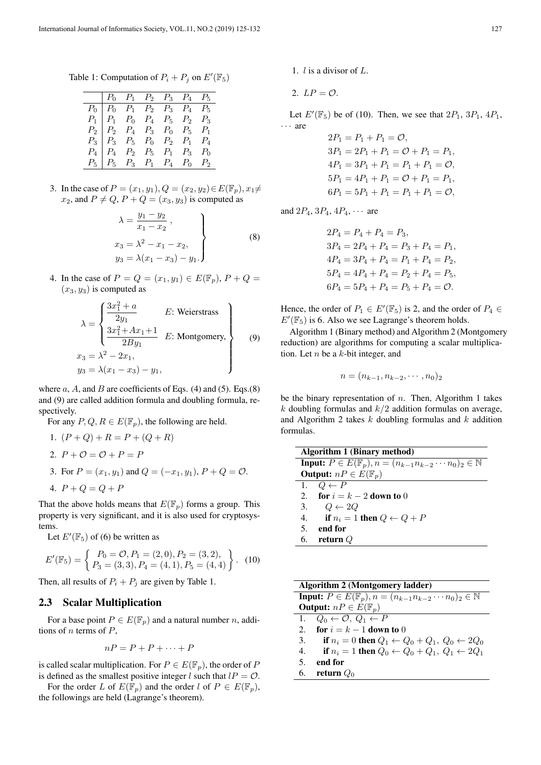Table 1: Computation of  $P_i + P_j$  on  $E'(\mathbb{F}_5)$ 

|  |  | $P_0$ $P_1$ $P_2$ $P_3$ $P_4$ $P_5$                                                                                                                                                                                                                                                                                   |  |
|--|--|-----------------------------------------------------------------------------------------------------------------------------------------------------------------------------------------------------------------------------------------------------------------------------------------------------------------------|--|
|  |  |                                                                                                                                                                                                                                                                                                                       |  |
|  |  |                                                                                                                                                                                                                                                                                                                       |  |
|  |  |                                                                                                                                                                                                                                                                                                                       |  |
|  |  |                                                                                                                                                                                                                                                                                                                       |  |
|  |  |                                                                                                                                                                                                                                                                                                                       |  |
|  |  | $\begin{tabular}{l cccccc} $P_0$ & $P_0$ & $P_1$ & $P_2$ & $P_3$ & $P_4$ & $P_5$ \\ $P_1$ & $P_1$ & $P_0$ & $P_4$ & $P_5$ & $P_2$ & $P_3$ \\ $P_2$ & $P_2$ & $P_4$ & $P_3$ & $P_0$ & $P_5$ & $P_1$ \\ $P_3$ & $P_3$ & $P_5$ & $P_0$ & $P_2$ & $P_1$ & $P_4$ \\ $P_4$ & $P_4$ & $P_2$ & $P_5$ & $P_1$ & $P_3$ & $P_0$$ |  |

3. In the case of  $P = (x_1, y_1), Q = (x_2, y_2) \in E(\mathbb{F}_p), x_1 \neq$ *x*<sub>2</sub>, and  $P \neq Q$ ,  $P + Q = (x_3, y_3)$  is computed as

$$
\lambda = \frac{y_1 - y_2}{x_1 - x_2},
$$
  
\n
$$
\begin{aligned}\nx_3 &= \lambda^2 - x_1 - x_2, \\
y_3 &= \lambda(x_1 - x_3) - y_1.\n\end{aligned}
$$
\n(8)

4. In the case of  $P = Q = (x_1, y_1) \in E(\mathbb{F}_p)$ ,  $P + Q =$  $(x_3, y_3)$  is computed as

$$
\lambda = \begin{cases}\n\frac{3x_1^2 + a}{2y_1} & E: \text{Weierstrass} \\
\frac{3x_1^2 + Ax_1 + 1}{2By_1} & E: \text{ Montgomery,} \\
x_3 = \lambda^2 - 2x_1, \\
y_3 = \lambda(x_1 - x_3) - y_1,\n\end{cases}
$$
\n(9)

where  $a$ ,  $A$ , and  $B$  are coefficients of Eqs. (4) and (5). Eqs. (8) and (9) are called addition formula and doubling formula, respectively.

For any  $P, Q, R \in E(\mathbb{F}_p)$ , the following are held.

1. 
$$
(P + Q) + R = P + (Q + R)
$$
  
\n2.  $P + O = O + P = P$   
\n3. For  $P = (x_1, y_1)$  and  $Q = (-x_1, y_1), P + Q = O$ .  
\n4.  $P + Q = Q + P$ 

That the above holds means that  $E(\mathbb{F}_p)$  forms a group. This property is very significant, and it is also used for cryptosystems.

Let  $E'(\mathbb{F}_5)$  of (6) be written as

$$
E'(\mathbb{F}_5) = \begin{cases} P_0 = \mathcal{O}, P_1 = (2, 0), P_2 = (3, 2), \\ P_3 = (3, 3), P_4 = (4, 1), P_5 = (4, 4) \end{cases}.
$$
 (10)

Then, all results of  $P_i + P_j$  are given by Table 1.

## 2.3 Scalar Multiplication

For a base point  $P \in E(\mathbb{F}_p)$  and a natural number *n*, additions of *n* terms of *P*,

$$
nP = P + P + \cdots + P
$$

is called scalar multiplication. For  $P \in E(\mathbb{F}_p)$ , the order of *P* is defined as the smallest positive integer *l* such that  $lP = \mathcal{O}$ .

For the order *L* of  $E(\mathbb{F}_p)$  and the order *l* of  $P \in E(\mathbb{F}_p)$ , the followings are held (Lagrange's theorem).

- 1. *l* is a divisor of *L*.
- 2.  $LP = \mathcal{O}$ .

Let  $E'(\mathbb{F}_5)$  be of (10). Then, we see that  $2P_1$ ,  $3P_1$ ,  $4P_1$ , *· · ·* are

> $2P_1 = P_1 + P_1 = \mathcal{O}$  $3P_1 = 2P_1 + P_1 = \mathcal{O} + P_1 = P_1$  $4P_1 = 3P_1 + P_1 = P_1 + P_1 = \mathcal{O}$  $5P_1 = 4P_1 + P_1 = \mathcal{O} + P_1 = P_1$  $6P_1 = 5P_1 + P_1 = P_1 + P_1 = \mathcal{O}$ ,

and  $2P_4$ ,  $3P_4$ ,  $4P_4$ ,  $\cdots$  are

$$
2P_4 = P_4 + P_4 = P_3,
$$
  
\n
$$
3P_4 = 2P_4 + P_4 = P_3 + P_4 = P_1,
$$
  
\n
$$
4P_4 = 3P_4 + P_4 = P_1 + P_4 = P_2,
$$
  
\n
$$
5P_4 = 4P_4 + P_4 = P_2 + P_4 = P_5,
$$
  
\n
$$
6P_4 = 5P_4 + P_4 = P_5 + P_4 = \mathcal{O}.
$$

Hence, the order of  $P_1 \in E'(\mathbb{F}_5)$  is 2, and the order of  $P_4 \in$  $E'(\mathbb{F}_5)$  is 6. Also we see Lagrange's theorem holds.

Algorithm 1 (Binary method) and Algorithm 2 (Montgomery reduction) are algorithms for computing a scalar multiplication. Let *n* be a *k*-bit integer, and

$$
n = (n_{k-1}, n_{k-2}, \cdots, n_0)_2
$$

be the binary representation of *n*. Then, Algorithm 1 takes *k* doubling formulas and *k/*2 addition formulas on average, and Algorithm 2 takes *k* doubling formulas and *k* addition formulas.

| Algorithm 1 (Binary method) |                                                                                        |  |  |
|-----------------------------|----------------------------------------------------------------------------------------|--|--|
|                             | <b>Input:</b> $P \in E(\mathbb{F}_p), n = (n_{k-1}n_{k-2}\cdots n_0)_2 \in \mathbb{N}$ |  |  |
|                             | <b>Output:</b> $nP \in E(\mathbb{F}_p)$                                                |  |  |
|                             | 1. $Q \leftarrow P$                                                                    |  |  |
|                             | 2. for $i = k - 2$ down to 0                                                           |  |  |
|                             | 3. $Q \leftarrow 2Q$                                                                   |  |  |
|                             | 4. if $n_i = 1$ then $Q \leftarrow Q + P$                                              |  |  |
| 5.                          | end for                                                                                |  |  |
|                             | 6. return $Q$                                                                          |  |  |

| Algorithm 2 (Montgomery ladder)                                                        |
|----------------------------------------------------------------------------------------|
| <b>Input:</b> $P \in E(\mathbb{F}_p), n = (n_{k-1}n_{k-2}\cdots n_0)_2 \in \mathbb{N}$ |
| <b>Output:</b> $nP \in E(\mathbb{F}_p)$                                                |
| 1. $Q_0 \leftarrow \mathcal{O}, Q_1 \leftarrow P$                                      |
| 2. for $i = k - 1$ down to 0                                                           |
| if $n_i = 0$ then $Q_1 \leftarrow Q_0 + Q_1, Q_0 \leftarrow 2Q_0$<br>3.                |
| if $n_i = 1$ then $Q_0 \leftarrow Q_0 + Q_1, Q_1 \leftarrow 2Q_1$<br>4.                |
| end for<br>5.                                                                          |
| 6. return $Q_0$                                                                        |
|                                                                                        |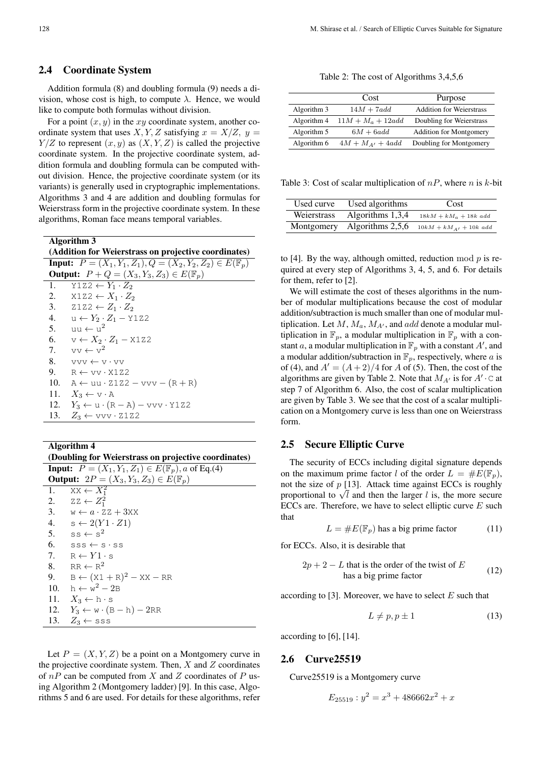#### 2.4 Coordinate System

Addition formula (8) and doubling formula (9) needs a division, whose cost is high, to compute  $\lambda$ . Hence, we would like to compute both formulas without division.

For a point (*x, y*) in the *xy* coordinate system, another coordinate system that uses *X*, *Y*, *Z* satisfying  $x = X/Z$ ,  $y =$  $Y/Z$  to represent  $(x, y)$  as  $(X, Y, Z)$  is called the projective coordinate system. In the projective coordinate system, addition formula and doubling formula can be computed without division. Hence, the projective coordinate system (or its variants) is generally used in cryptographic implementations. Algorithms 3 and 4 are addition and doubling formulas for Weierstrass form in the projective coordinate system. In these algorithms, Roman face means temporal variables.

Algorithm 3

|     | (Addition for Weierstrass on projective coordinates)                         |
|-----|------------------------------------------------------------------------------|
|     | <b>Input:</b> $P = (X_1, Y_1, Z_1), Q = (X_2, Y_2, Z_2) \in E(\mathbb{F}_p)$ |
|     | <b>Output:</b> $P + Q = (X_3, Y_3, Z_3) \in E(\mathbb{F}_p)$                 |
| 1.  | $Y1Z2 \leftarrow Y_1 \cdot Z_2$                                              |
| 2.  | $X1Z2 \leftarrow X_1 \cdot Z_2$                                              |
| 3.  | $2122 \leftarrow Z_1 \cdot Z_2$                                              |
| 4.  | $u \leftarrow Y_2 \cdot Z_1 - Y1Z2$                                          |
| 5.  | $m \leftarrow n^2$                                                           |
|     | 6. $v \leftarrow X_2 \cdot Z_1 - X1Z2$                                       |
| 7.  | $vv \leftarrow v^2$                                                          |
| 8.  | $\forall v \forall v \leftarrow v \cdot v$                                   |
| 9.  | $R \leftarrow vV \cdot X1Z2$                                                 |
| 10. | $A \leftarrow uu \cdot Z1Z2 - vvv - (R + R)$                                 |
| 11. | $X_3 \leftarrow \text{v} \cdot \text{A}$                                     |
|     | 12. $Y_3 \leftarrow u \cdot (R - A) - v v v \cdot Y 1 Z 2$                   |
| 13. | $Z_3 \leftarrow \text{vvv} \cdot 2122$                                       |

Algorithm 4

(Doubling for Weierstrass on projective coordinates)

| <b>Input:</b> $P = (X_1, Y_1, Z_1) \in E(\mathbb{F}_p), a$ of Eq.(4) |                                                           |  |  |  |
|----------------------------------------------------------------------|-----------------------------------------------------------|--|--|--|
|                                                                      | <b>Output:</b> $2P = (X_3, Y_3, Z_3) \in E(\mathbb{F}_p)$ |  |  |  |
|                                                                      | 1. $XX \leftarrow X_1^2$                                  |  |  |  |
|                                                                      | 2. $ZZ \leftarrow Z_1^2$                                  |  |  |  |
|                                                                      | 3. $w \leftarrow a \cdot 2Z + 3XX$                        |  |  |  |
|                                                                      | 4. $s \leftarrow 2(Y1 \cdot Z1)$                          |  |  |  |
|                                                                      | 5. $ss \leftarrow s^2$                                    |  |  |  |
|                                                                      | 6. $SSS \leftarrow S \cdot SS$                            |  |  |  |
|                                                                      | 7. $R \leftarrow Y1 \cdot s$                              |  |  |  |
|                                                                      | 8. RR $\leftarrow$ R <sup>2</sup>                         |  |  |  |
|                                                                      | 9. $B \leftarrow (X1 + R)^2 - XX - RR$                    |  |  |  |
|                                                                      | 10. $h \leftarrow w^2 - 2B$                               |  |  |  |
|                                                                      | 11. $X_3 \leftarrow h \cdot s$                            |  |  |  |
|                                                                      | 12. $Y_3 \leftarrow w \cdot (B - h) - 2RR$                |  |  |  |
|                                                                      | 13. $Z_3 \leftarrow$ sss                                  |  |  |  |

Let  $P = (X, Y, Z)$  be a point on a Montgomery curve in the projective coordinate system. Then, *X* and *Z* coordinates of *nP* can be computed from *X* and *Z* coordinates of *P* using Algorithm 2 (Montgomery ladder) [9]. In this case, Algorithms 5 and 6 are used. For details for these algorithms, refer

Table 2: The cost of Algorithms 3,4,5,6

|             | Cost                 | Purpose                         |
|-------------|----------------------|---------------------------------|
| Algorithm 3 | $14M + 7add$         | <b>Addition for Weierstrass</b> |
| Algorithm 4 | $11M + M_a + 12add$  | Doubling for Weierstrass        |
| Algorithm 5 | $6M + 6add$          | <b>Addition for Montgomery</b>  |
| Algorithm 6 | $4M + M_{A'} + 4add$ | Doubling for Montgomery         |

Table 3: Cost of scalar multiplication of *nP*, where *n* is *k*-bit

| Used curve  | Used algorithms  | Cost                       |
|-------------|------------------|----------------------------|
| Weierstrass | Algorithms 1,3,4 | $18kM + kM_a + 18k$ add    |
| Montgomery  | Algorithms 2,5,6 | $10kM + kM_{A'} + 10k$ add |

to [4]. By the way, although omitted, reduction mod *p* is required at every step of Algorithms 3, 4, 5, and 6. For details for them, refer to [2].

We will estimate the cost of theses algorithms in the number of modular multiplications because the cost of modular addition/subtraction is much smaller than one of modular multiplication. Let  $M$ ,  $M_a$ ,  $M_{A'}$ , and *add* denote a modular multiplication in  $\mathbb{F}_p$ , a modular multiplication in  $\mathbb{F}_p$  with a constant *a*, a modular multiplication in  $\mathbb{F}_p$  with a constant  $A'$ , and a modular addition/subtraction in  $\mathbb{F}_p$ , respectively, where *a* is of (4), and  $A' = (A + 2)/4$  for *A* of (5). Then, the cost of the algorithms are given by Table 2. Note that  $M_{A}$ <sup>*'*</sup> is for  $A' \cdot C$  at step 7 of Algorithm 6. Also, the cost of scalar multiplication are given by Table 3. We see that the cost of a scalar multiplication on a Montgomery curve is less than one on Weierstrass form.

### 2.5 Secure Elliptic Curve

The security of ECCs including digital signature depends on the maximum prime factor *l* of the order  $L = \#E(\mathbb{F}_p)$ , not the size of *p* [13]. Attack time against ECCs is roughly proportional to  $\sqrt{l}$  and then the larger *l* is, the more secure ECCs are. Therefore, we have to select elliptic curve *E* such that

$$
L = \#E(\mathbb{F}_p)
$$
 has a big prime factor (11)

for ECCs. Also, it is desirable that

$$
2p + 2 - L \text{ that is the order of the twist of } E
$$
  
has a big prime factor (12)

according to [3]. Moreover, we have to select *E* such that

$$
L \neq p, p \pm 1 \tag{13}
$$

according to [6], [14].

#### 2.6 Curve25519

Curve25519 is a Montgomery curve

$$
E_{25519} : y^2 = x^3 + 486662x^2 + x
$$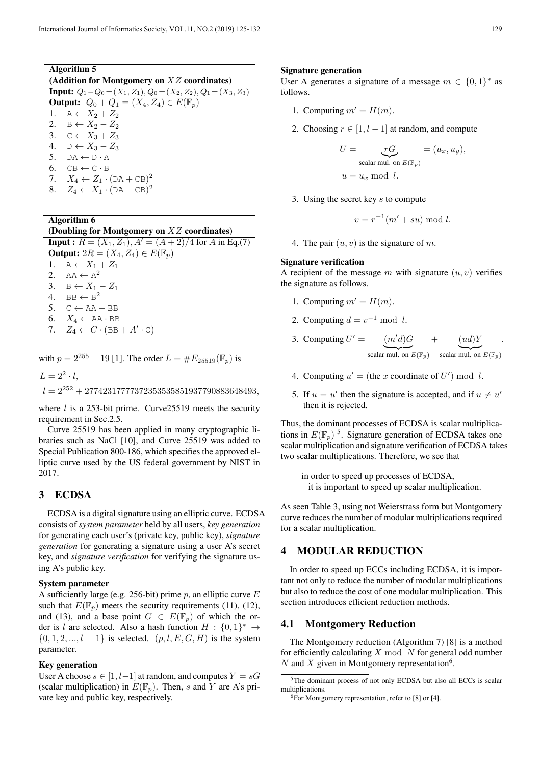| Algorithm 5                                                                |  |  |  |
|----------------------------------------------------------------------------|--|--|--|
| (Addition for Montgomery on $XZ$ coordinates)                              |  |  |  |
| <b>Input:</b> $Q_1 - Q_0 = (X_1, Z_1), Q_0 = (X_2, Z_2), Q_1 = (X_3, Z_3)$ |  |  |  |
| <b>Output:</b> $Q_0 + Q_1 = (X_4, Z_4) \in E(\mathbb{F}_p)$                |  |  |  |
| 1. $A \leftarrow X_2 + Z_2$                                                |  |  |  |
| 2. $B \leftarrow X_2 - Z_2$                                                |  |  |  |
| 3. $C \leftarrow X_3 + Z_3$                                                |  |  |  |
| 4. $D \leftarrow X_3 - Z_3$                                                |  |  |  |
| 5. $DA \leftarrow D \cdot A$                                               |  |  |  |
| 6. $CB \leftarrow C \cdot B$                                               |  |  |  |
| 7. $X_4 \leftarrow Z_1 \cdot (DA + CB)^2$                                  |  |  |  |

8.  $Z_4 \leftarrow X_1 \cdot (\text{DA} - \text{CB})^2$ 

#### Algorithm 6

| (Doubling for Montgomery on $XZ$ coordinates) |                                                                 |  |  |  |
|-----------------------------------------------|-----------------------------------------------------------------|--|--|--|
|                                               | <b>Input :</b> $R = (X_1, Z_1), A' = (A + 2)/4$ for A in Eq.(7) |  |  |  |
|                                               | <b>Output:</b> $2R = (X_4, Z_4) \in E(\mathbb{F}_p)$            |  |  |  |
|                                               | 1. $A \leftarrow X_1 + Z_1$                                     |  |  |  |
|                                               | 2. $AA \leftarrow A^2$                                          |  |  |  |
|                                               | 3. $B \leftarrow X_1 - Z_1$                                     |  |  |  |
|                                               | 4. BB $\leftarrow$ B <sup>2</sup>                               |  |  |  |
|                                               | 5. $C \leftarrow AA - BB$                                       |  |  |  |
|                                               | 6. $X_4 \leftarrow \text{AA} \cdot \text{BB}$                   |  |  |  |

7.  $Z_4 \leftarrow C \cdot (\text{BB} + A' \cdot \text{C})$ 

with  $p = 2^{255} - 19$  [1]. The order  $L = \#E_{25519}(\mathbb{F}_p)$  is

 $L = 2^2 \cdot l$ , *l* = 2<sup>252</sup> + 27742317777372353535851937790883648493*,*

where *l* is a 253-bit prime. Curve25519 meets the security requirement in Sec.2.5.

Curve 25519 has been applied in many cryptographic libraries such as NaCl [10], and Curve 25519 was added to Special Publication 800-186, which specifies the approved elliptic curve used by the US federal government by NIST in 2017.

## 3 ECDSA

ECDSA is a digital signature using an elliptic curve. ECDSA consists of *system parameter* held by all users, *key generation* for generating each user's (private key, public key), *signature generation* for generating a signature using a user A's secret key, and *signature verification* for verifying the signature using A's public key.

### System parameter

A sufficiently large (e.g. 256-bit) prime *p*, an elliptic curve *E* such that  $E(\mathbb{F}_n)$  meets the security requirements (11), (12), and (13), and a base point  $G \in E(\mathbb{F}_p)$  of which the order is *l* are selected. Also a hash function  $H : \{0, 1\}^* \rightarrow$ *{*0*,* 1*,* 2*, ..., l −* 1*}* is selected. (*p, l, E, G, H*) is the system parameter.

#### Key generation

User A choose  $s \in [1, l-1]$  at random, and computes  $Y = sG$ (scalar multiplication) in  $E(\mathbb{F}_p)$ . Then, *s* and *Y* are *A*'s private key and public key, respectively.

#### Signature generation

User A generates a signature of a message  $m \in \{0, 1\}^*$  as follows.

- 1. Computing  $m' = H(m)$ .
- 2. Choosing  $r \in [1, l-1]$  at random, and compute

$$
U = \underbrace{rG}_{\text{scalar mul. on } E(\mathbb{F}_p)} = (u_x, u_y),
$$
  

$$
u = u_x \mod l.
$$

3. Using the secret key *s* to compute

$$
v = r^{-1}(m' + su) \bmod l.
$$

4. The pair  $(u, v)$  is the signature of m.

#### Signature verification

A recipient of the message  $m$  with signature  $(u, v)$  verifies the signature as follows.

- 1. Computing  $m' = H(m)$ .
- 2. Computing  $d = v^{-1} \bmod l$ .
- 3. Computing  $U' = (m'd)G$ scalar mul. on  $E(\mathbb{F}_p)$ + (*ud*)*Y* scalar mul. on  $E(\mathbb{F}_p)$ .
- 4. Computing  $u' =$  (the *x* coordinate of  $U'$ ) mod *l*.
- 5. If  $u = u'$  then the signature is accepted, and if  $u \neq u'$ then it is rejected.

Thus, the dominant processes of ECDSA is scalar multiplications in  $E(\mathbb{F}_p)$ <sup>5</sup>. Signature generation of ECDSA takes one scalar multiplication and signature verification of ECDSA takes two scalar multiplications. Therefore, we see that

in order to speed up processes of ECDSA, it is important to speed up scalar multiplication.

As seen Table 3, using not Weierstrass form but Montgomery curve reduces the number of modular multiplications required for a scalar multiplication.

## 4 MODULAR REDUCTION

In order to speed up ECCs including ECDSA, it is important not only to reduce the number of modular multiplications but also to reduce the cost of one modular multiplication. This section introduces efficient reduction methods.

### 4.1 Montgomery Reduction

The Montgomery reduction (Algorithm 7) [8] is a method for efficiently calculating *X* mod *N* for general odd number  $N$  and  $X$  given in Montgomery representation<sup>6</sup>.

<sup>&</sup>lt;sup>5</sup>The dominant process of not only ECDSA but also all ECCs is scalar multiplications.

 $6$ For Montgomery representation, refer to [8] or [4].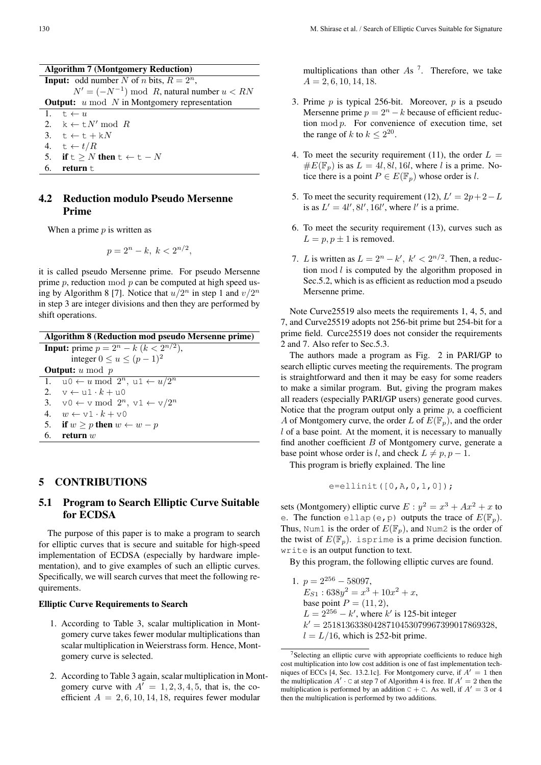|    | <b>Algorithm 7 (Montgomery Reduction)</b>              |  |  |  |
|----|--------------------------------------------------------|--|--|--|
|    | <b>Input:</b> odd number N of n bits, $R = 2^n$ ,      |  |  |  |
|    | $N' = (-N^{-1}) \mod R$ , natural number $u < RN$      |  |  |  |
|    | <b>Output:</b> $u \mod N$ in Montgomery representation |  |  |  |
|    | 1. $t \leftarrow u$                                    |  |  |  |
|    | 2. $k \leftarrow t$ M' mod R                           |  |  |  |
|    | 3. $t \leftarrow t + kN$                               |  |  |  |
|    | 4. $t \leftarrow t/R$                                  |  |  |  |
|    | 5. if $t > N$ then $t \leftarrow t - N$                |  |  |  |
| 6. | return t                                               |  |  |  |

## 4.2 Reduction modulo Pseudo Mersenne Prime

When a prime *p* is written as

$$
p = 2^n - k, \ k < 2^{n/2},
$$

it is called pseudo Mersenne prime. For pseudo Mersenne prime *p*, reduction mod *p* can be computed at high speed using by Algorithm 8 [7]. Notice that  $u/2^n$  in step 1 and  $v/2^n$ in step 3 are integer divisions and then they are performed by shift operations.

| Algorithm 8 (Reduction mod pseudo Mersenne prime)                            |  |  |  |
|------------------------------------------------------------------------------|--|--|--|
| <b>Input:</b> prime $p = 2^n - k (k < 2^{n/2})$ ,                            |  |  |  |
| integer $0 \le u \le (p-1)^2$                                                |  |  |  |
| <b>Output:</b> $u \mod p$                                                    |  |  |  |
| 1. $u0 \leftarrow u \mod 2^n$ , $u1 \leftarrow u/2^n$                        |  |  |  |
| 2. $v \leftarrow u1 \cdot k + u0$                                            |  |  |  |
| 3. $\forall 0 \leftarrow \forall \mod 2^n, \forall 1 \leftarrow \forall 2^n$ |  |  |  |
| 4. $w \leftarrow \forall x 1 \cdot k + \forall 0$                            |  |  |  |
| 5. if $w \geq p$ then $w \leftarrow w - p$                                   |  |  |  |
| 6.<br>return $w$                                                             |  |  |  |
|                                                                              |  |  |  |

## 5 CONTRIBUTIONS

# 5.1 Program to Search Elliptic Curve Suitable for ECDSA

The purpose of this paper is to make a program to search for elliptic curves that is secure and suitable for high-speed implementation of ECDSA (especially by hardware implementation), and to give examples of such an elliptic curves. Specifically, we will search curves that meet the following requirements.

### Elliptic Curve Requirements to Search

- 1. According to Table 3, scalar multiplication in Montgomery curve takes fewer modular multiplications than scalar multiplication in Weierstrass form. Hence, Montgomery curve is selected.
- 2. According to Table 3 again, scalar multiplication in Montgomery curve with  $A' = 1, 2, 3, 4, 5$ , that is, the coefficient  $A = 2, 6, 10, 14, 18$ , requires fewer modular

multiplications than other *A*s 7 . Therefore, we take *A* = 2*,* 6*,* 10*,* 14*,* 18.

- 3. Prime *p* is typical 256-bit. Moreover, *p* is a pseudo Mersenne prime  $p = 2^n - k$  because of efficient reduction mod *p*. For convenience of execution time, set the range of *k* to  $k \leq 2^{20}$ .
- 4. To meet the security requirement (11), the order  $L =$  $\#E(\mathbb{F}_p)$  is as  $L = 4l, 8l, 16l$ , where *l* is a prime. Notice there is a point  $P \in E(\mathbb{F}_p)$  whose order is *l*.
- 5. To meet the security requirement (12),  $L' = 2p + 2 L$ is as  $L' = 4l', 8l', 16l'$ , where *l'* is a prime.
- 6. To meet the security requirement (13), curves such as  $L = p, p \pm 1$  is removed.
- 7. *L* is written as  $L = 2^n k'$ ,  $k' < 2^{n/2}$ . Then, a reduction mod *l* is computed by the algorithm proposed in Sec.5.2, which is as efficient as reduction mod a pseudo Mersenne prime.

Note Curve25519 also meets the requirements 1, 4, 5, and 7, and Curve25519 adopts not 256-bit prime but 254-bit for a prime field. Curce25519 does not consider the requirements 2 and 7. Also refer to Sec.5.3.

The authors made a program as Fig. 2 in PARI/GP to search elliptic curves meeting the requirements. The program is straightforward and then it may be easy for some readers to make a similar program. But, giving the program makes all readers (especially PARI/GP users) generate good curves. Notice that the program output only a prime *p*, a coefficient *A* of Montgomery curve, the order *L* of  $E(\mathbb{F}_p)$ , and the order *l* of a base point. At the moment, it is necessary to manually find another coefficient *B* of Montgomery curve, generate a base point whose order is *l*, and check  $L \neq p, p - 1$ .

This program is briefly explained. The line

$$
e = \text{ellinit}([0, A, 0, 1, 0]);
$$

sets (Montgomery) elliptic curve  $E: y^2 = x^3 + Ax^2 + x$  to e. The function ellap(e, p) outputs the trace of  $E(\mathbb{F}_p)$ . Thus, Num1 is the order of  $E(\mathbb{F}_p)$ , and Num2 is the order of the twist of  $E(\mathbb{F}_p)$ . is prime is a prime decision function. write is an output function to text.

By this program, the following elliptic curves are found.

1.  $p = 2^{256} - 58097$ ,  $E_{S1}$ :  $638y^2 = x^3 + 10x^2 + x$ , base point  $P = (11, 2)$ ,  $L = 2^{256} - k'$ , where  $k'$  is 125-bit integer *k ′* = 25181363380428710453079967399017869328,  $l = L/16$ , which is 252-bit prime.

<sup>&</sup>lt;sup>7</sup>Selecting an elliptic curve with appropriate coefficients to reduce high cost multiplication into low cost addition is one of fast implementation techniques of ECCs [4, Sec. 13.2.1c]. For Montgomery curve, if *A′* = 1 then the multiplication  $A' \cdot C$  at step 7 of Algorithm 4 is free. If  $A' = 2$  then the multiplication is performed by an addition  $C + C$ . As well, if  $A' = 3$  or 4 then the multiplication is performed by two additions.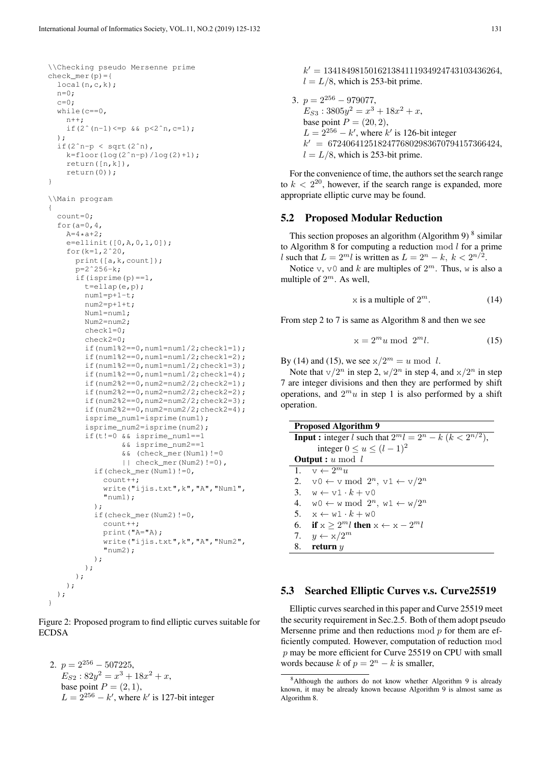```
\\Checking pseudo Mersenne prime
check mer(p)={
  local(n,c,k);
  n=0:
  c=0:
  while(c==0,
    n++:
    if(2^{\circ}(n-1) <= p & s p < 2^{\circ}n, c= 1);
  );
  if(2^{\circ}n-p < sqrt(2^{\circ}n),
    k = floor(log(2^n-p)/log(2)+1);
    return([n,k]),
    return(0));
}
\\Main program
{
  count=0;
  for(a=0, 4,A=4*a+2;e =ellinit([0, A, 0, 1, 0]);
    for(k=1,2ˆ20,
      print([a,k,count]);
      p=2^2256-k;if(isprime(p)==1,
        t=ellap(e,p);
        num1=p+1-t;num2=p+1+t;Num1=num1;
        Num2=num2;
        check1=0;
        check2=0;
        if(num1%2==0,num1=num1/2;check1=1);
        if(num1%2==0,num1=num1/2;check1=2);
        if(num1%2==0,num1=num1/2;check1=3);
        if(num1%2==0,num1=num1/2;check1=4);
        if(num2%2==0,num2=num2/2;check2=1);
        if(num2%2==0,num2=num2/2;check2=2);
        if(num2%2==0,num2=num2/2;check2=3);
        if(num2%2==0,num2=num2/2;check2=4);
        isprime_num1=isprime(num1);
        isprime_num2=isprime(num2);
        if(t!=0 \& isprime_num1==1
                 && isprime_num2==1
                 && (check_mer(Num1)!=0
                 || check_mer(Num2)!=0),
          if(check_mer(Num1)!=0,
             count++;
             write("ijis.txt",k","A","Num1",
             "num1);
          );
          if(check_mer(Num2)!=0,
             count++;
             print("A="A);
             write("ijis.txt",k","A","Num2",
             "num2);
          );
        );
     );
   );
 );
}
```
Figure 2: Proposed program to find elliptic curves suitable for ECDSA

2.  $p = 2^{256} - 507225$ ,  $E_{S2}: 82y^2 = x^3 + 18x^2 + x,$ base point  $P = (2, 1)$ ,  $L = 2^{256} - k'$ , where  $k'$  is 127-bit integer

*k ′* = 134184981501621384111934924743103436264,  $l = L/8$ , which is 253-bit prime.

3.  $p = 2^{256} - 979077$  $E_{S3}$ : 3805 $y^2 = x^3 + 18x^2 + x$ , base point  $P = (20, 2)$ ,  $L = 2^{256} - k'$ , where  $k'$  is 126-bit integer *k ′* = 67240641251824776802983670794157366424,  $l = L/8$ , which is 253-bit prime.

For the convenience of time, the authors set the search range to  $k < 2^{20}$ , however, if the search range is expanded, more appropriate elliptic curve may be found.

### 5.2 Proposed Modular Reduction

This section proposes an algorithm (Algorithm 9) $<sup>8</sup>$  similar</sup> to Algorithm 8 for computing a reduction mod *l* for a prime *l* such that  $L = 2^m l$  is written as  $L = 2^n - k$ ,  $k < 2^{n/2}$ .

Notice  $v, v0$  and  $k$  are multiples of  $2^m$ . Thus, w is also a multiple of 2 *<sup>m</sup>*. As well,

$$
x \text{ is a multiple of } 2^m. \tag{14}
$$

From step 2 to 7 is same as Algorithm 8 and then we see

$$
x = 2^m u \bmod 2^m l. \tag{15}
$$

By (14) and (15), we see  $x/2^m = u \mod l$ .

Note that  $\sqrt{2^n}$  in step 2,  $\sqrt{2^n}$  in step 4, and  $\sqrt{x}/2^n$  in step 7 are integer divisions and then they are performed by shift operations, and  $2^m u$  in step 1 is also performed by a shift operation.

| <b>Proposed Algorithm 9</b>                                                  |  |  |  |
|------------------------------------------------------------------------------|--|--|--|
| <b>Input :</b> integer l such that $2^m l = 2^n - k$ ( $k < 2^{n/2}$ ),      |  |  |  |
| integer $0 \le u \le (l-1)^2$                                                |  |  |  |
| <b>Output</b> : $u \mod l$                                                   |  |  |  |
| 1. $v \leftarrow 2^m u$                                                      |  |  |  |
| 2. $\forall 0 \leftarrow \forall \mod 2^n, \forall 1 \leftarrow \forall 2^n$ |  |  |  |
| 3. $w \leftarrow v1 \cdot k + v0$                                            |  |  |  |
| 4. $w0 \leftarrow w \mod 2^n$ , $w1 \leftarrow w/2^n$                        |  |  |  |
| 5. $x \leftarrow w1 \cdot k + w0$                                            |  |  |  |
| 6. if $x > 2^m l$ then $x \leftarrow x - 2^m l$                              |  |  |  |
| 7. $y \leftarrow x/2^m$                                                      |  |  |  |
| 8.<br>return $y$                                                             |  |  |  |
|                                                                              |  |  |  |

## 5.3 Searched Elliptic Curves v.s. Curve25519

Elliptic curves searched in this paper and Curve 25519 meet the security requirement in Sec.2.5. Both of them adopt pseudo Mersenne prime and then reductions mod *p* for them are efficiently computed. However, computation of reduction mod *p* may be more efficient for Curve 25519 on CPU with small words because *k* of  $p = 2^n - k$  is smaller,

<sup>8</sup>Although the authors do not know whether Algorithm 9 is already known, it may be already known because Algorithm 9 is almost same as Algorithm 8.